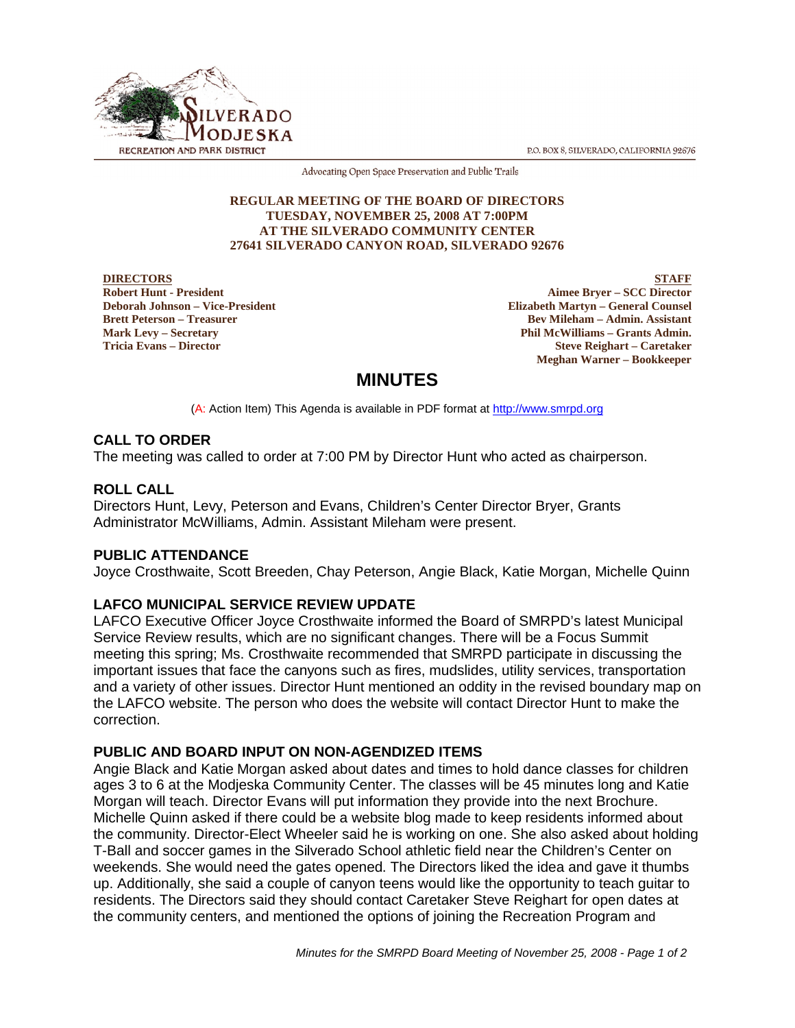P.O. BOX 8, SILVERADO, CALIFORNIA 92676



Advocating Open Space Preservation and Public Trails

## **REGULAR MEETING OF THE BOARD OF DIRECTORS TUESDAY, NOVEMBER 25, 2008 AT 7:00PM AT THE SILVERADO COMMUNITY CENTER 27641 SILVERADO CANYON ROAD, SILVERADO 92676**

**DIRECTORS Robert Hunt - President Deborah Johnson – Vice-President Brett Peterson – Treasurer Mark Levy – Secretary Tricia Evans – Director**

**STAFF Aimee Bryer – SCC Director Elizabeth Martyn – General Counsel Bev Mileham – Admin. Assistant Phil McWilliams – Grants Admin. Steve Reighart – Caretaker Meghan Warner – Bookkeeper**

# **MINUTES**

(A: Action Item) This Agenda is available in PDF format at http://www.smrpd.org

## **CALL TO ORDER**

The meeting was called to order at 7:00 PM by Director Hunt who acted as chairperson.

## **ROLL CALL**

Directors Hunt, Levy, Peterson and Evans, Children's Center Director Bryer, Grants Administrator McWilliams, Admin. Assistant Mileham were present.

## **PUBLIC ATTENDANCE**

Joyce Crosthwaite, Scott Breeden, Chay Peterson, Angie Black, Katie Morgan, Michelle Quinn

## **LAFCO MUNICIPAL SERVICE REVIEW UPDATE**

LAFCO Executive Officer Joyce Crosthwaite informed the Board of SMRPD's latest Municipal Service Review results, which are no significant changes. There will be a Focus Summit meeting this spring; Ms. Crosthwaite recommended that SMRPD participate in discussing the important issues that face the canyons such as fires, mudslides, utility services, transportation and a variety of other issues. Director Hunt mentioned an oddity in the revised boundary map on the LAFCO website. The person who does the website will contact Director Hunt to make the correction.

## **PUBLIC AND BOARD INPUT ON NON-AGENDIZED ITEMS**

Angie Black and Katie Morgan asked about dates and times to hold dance classes for children ages 3 to 6 at the Modjeska Community Center. The classes will be 45 minutes long and Katie Morgan will teach. Director Evans will put information they provide into the next Brochure. Michelle Quinn asked if there could be a website blog made to keep residents informed about the community. Director-Elect Wheeler said he is working on one. She also asked about holding T-Ball and soccer games in the Silverado School athletic field near the Children's Center on weekends. She would need the gates opened. The Directors liked the idea and gave it thumbs up. Additionally, she said a couple of canyon teens would like the opportunity to teach guitar to residents. The Directors said they should contact Caretaker Steve Reighart for open dates at the community centers, and mentioned the options of joining the Recreation Program and